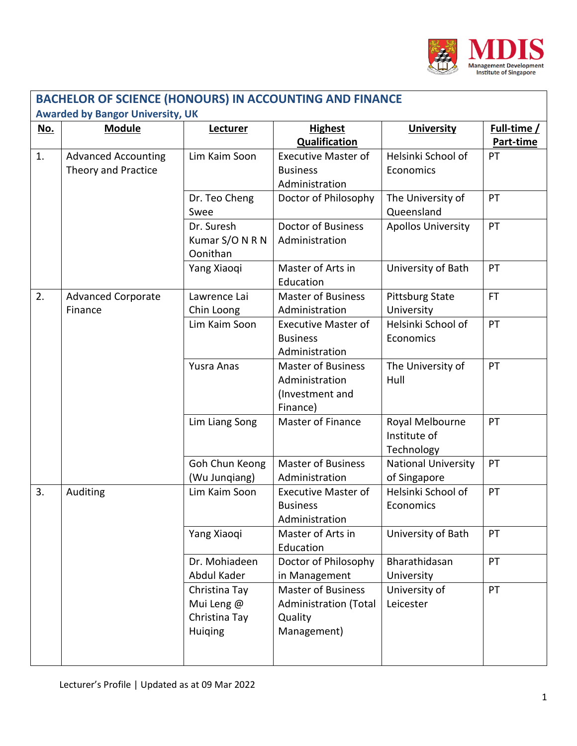

| <b>BACHELOR OF SCIENCE (HONOURS) IN ACCOUNTING AND FINANCE</b> |                                                   |                                                         |                                                                                     |                                               |                          |  |
|----------------------------------------------------------------|---------------------------------------------------|---------------------------------------------------------|-------------------------------------------------------------------------------------|-----------------------------------------------|--------------------------|--|
|                                                                | <b>Awarded by Bangor University, UK</b>           |                                                         |                                                                                     |                                               |                          |  |
| <u>No.</u>                                                     | <b>Module</b>                                     | Lecturer                                                | <b>Highest</b><br><b>Qualification</b>                                              | <b>University</b>                             | Full-time /<br>Part-time |  |
| 1.                                                             | <b>Advanced Accounting</b><br>Theory and Practice | Lim Kaim Soon                                           | <b>Executive Master of</b><br><b>Business</b><br>Administration                     | Helsinki School of<br>Economics               | PT                       |  |
|                                                                |                                                   | Dr. Teo Cheng<br>Swee                                   | Doctor of Philosophy                                                                | The University of<br>Queensland               | PT                       |  |
|                                                                |                                                   | Dr. Suresh<br>Kumar S/O N R N<br>Oonithan               | <b>Doctor of Business</b><br>Administration                                         | <b>Apollos University</b>                     | PT                       |  |
|                                                                |                                                   | Yang Xiaoqi                                             | Master of Arts in<br>Education                                                      | University of Bath                            | PT                       |  |
| 2.                                                             | <b>Advanced Corporate</b><br>Finance              | Lawrence Lai<br>Chin Loong                              | <b>Master of Business</b><br>Administration                                         | <b>Pittsburg State</b><br>University          | <b>FT</b>                |  |
|                                                                |                                                   | Lim Kaim Soon                                           | <b>Executive Master of</b><br><b>Business</b><br>Administration                     | Helsinki School of<br>Economics               | PT                       |  |
|                                                                |                                                   | <b>Yusra Anas</b>                                       | <b>Master of Business</b><br>Administration<br>(Investment and<br>Finance)          | The University of<br>Hull                     | PT                       |  |
|                                                                |                                                   | Lim Liang Song                                          | Master of Finance                                                                   | Royal Melbourne<br>Institute of<br>Technology | PT                       |  |
|                                                                |                                                   | Goh Chun Keong<br>(Wu Jungiang)                         | <b>Master of Business</b><br>Administration                                         | <b>National University</b><br>of Singapore    | PT                       |  |
| 3.                                                             | Auditing                                          | Lim Kaim Soon                                           | <b>Executive Master of</b><br><b>Business</b><br>Administration                     | Helsinki School of<br>Economics               | PT                       |  |
|                                                                |                                                   | Yang Xiaoqi                                             | Master of Arts in<br>Education                                                      | University of Bath                            | PT                       |  |
|                                                                |                                                   | Dr. Mohiadeen<br>Abdul Kader                            | Doctor of Philosophy<br>in Management                                               | Bharathidasan<br>University                   | PT                       |  |
|                                                                |                                                   | Christina Tay<br>Mui Leng @<br>Christina Tay<br>Huiging | <b>Master of Business</b><br><b>Administration (Total</b><br>Quality<br>Management) | University of<br>Leicester                    | PT                       |  |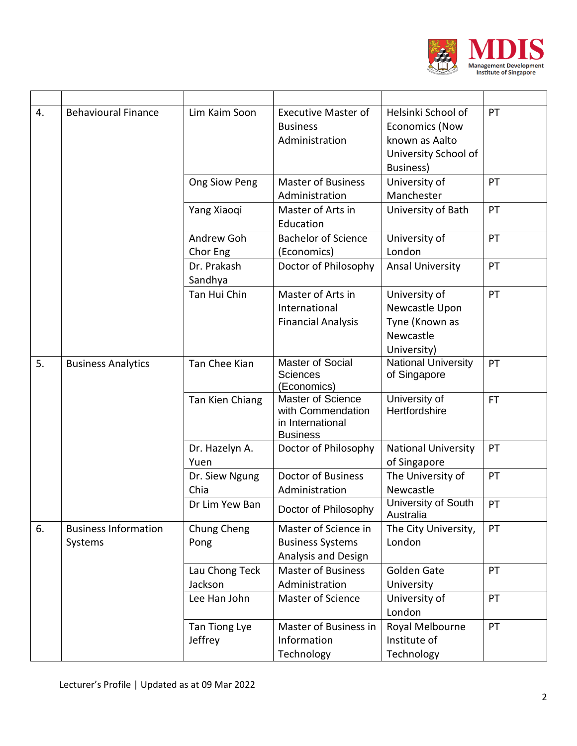

| 4. | <b>Behavioural Finance</b>             | Lim Kaim Soon             | <b>Executive Master of</b><br><b>Business</b><br>Administration               | Helsinki School of<br><b>Economics (Now</b><br>known as Aalto<br>University School of<br>Business) | PT  |
|----|----------------------------------------|---------------------------|-------------------------------------------------------------------------------|----------------------------------------------------------------------------------------------------|-----|
|    |                                        | Ong Siow Peng             | <b>Master of Business</b><br>Administration                                   | University of<br>Manchester                                                                        | PT  |
|    |                                        | Yang Xiaoqi               | Master of Arts in<br>Education                                                | University of Bath                                                                                 | PT  |
|    |                                        | Andrew Goh<br>Chor Eng    | <b>Bachelor of Science</b><br>(Economics)                                     | University of<br>London                                                                            | PT  |
|    |                                        | Dr. Prakash<br>Sandhya    | Doctor of Philosophy                                                          | <b>Ansal University</b>                                                                            | PT  |
|    |                                        | Tan Hui Chin              | Master of Arts in<br>International<br><b>Financial Analysis</b>               | University of<br>Newcastle Upon<br>Tyne (Known as<br>Newcastle<br>University)                      | PT  |
| 5. | <b>Business Analytics</b>              | Tan Chee Kian             | Master of Social<br><b>Sciences</b><br>(Economics)                            | National University<br>of Singapore                                                                | PT  |
|    |                                        | Tan Kien Chiang           | Master of Science<br>with Commendation<br>in International<br><b>Business</b> | University of<br>Hertfordshire                                                                     | FT. |
|    |                                        | Dr. Hazelyn A.<br>Yuen    | Doctor of Philosophy                                                          | <b>National University</b><br>of Singapore                                                         | PT  |
|    |                                        | Dr. Siew Ngung<br>Chia    | <b>Doctor of Business</b><br>Administration                                   | The University of<br>Newcastle                                                                     | PT  |
|    |                                        | Dr Lim Yew Ban            | Doctor of Philosophy                                                          | University of South<br>Australia                                                                   | PT  |
| 6. | <b>Business Information</b><br>Systems | Chung Cheng<br>Pong       | Master of Science in<br><b>Business Systems</b><br>Analysis and Design        | The City University,<br>London                                                                     | PT  |
|    |                                        | Lau Chong Teck<br>Jackson | <b>Master of Business</b><br>Administration                                   | Golden Gate<br>University                                                                          | PT  |
|    |                                        | Lee Han John              | Master of Science                                                             | University of<br>London                                                                            | PT  |
|    |                                        | Tan Tiong Lye<br>Jeffrey  | Master of Business in<br>Information<br>Technology                            | Royal Melbourne<br>Institute of<br>Technology                                                      | PT  |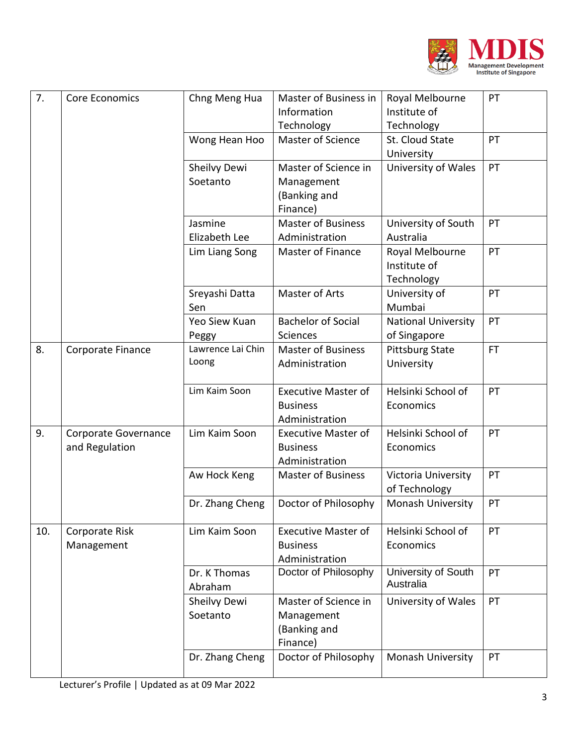

| 7.  | <b>Core Economics</b>                  | Chng Meng Hua              | Master of Business in<br>Information<br>Technology              | Royal Melbourne<br>Institute of<br>Technology | PT        |
|-----|----------------------------------------|----------------------------|-----------------------------------------------------------------|-----------------------------------------------|-----------|
|     |                                        | Wong Hean Hoo              | Master of Science                                               | St. Cloud State<br>University                 | PT        |
|     |                                        | Sheilvy Dewi<br>Soetanto   | Master of Science in<br>Management<br>(Banking and<br>Finance)  | University of Wales                           | PT        |
|     |                                        | Jasmine<br>Elizabeth Lee   | <b>Master of Business</b><br>Administration                     | University of South<br>Australia              | PT        |
|     |                                        | Lim Liang Song             | Master of Finance                                               | Royal Melbourne<br>Institute of<br>Technology | PT        |
|     |                                        | Sreyashi Datta<br>Sen      | Master of Arts                                                  | University of<br>Mumbai                       | PT        |
|     |                                        | Yeo Siew Kuan<br>Peggy     | <b>Bachelor of Social</b><br>Sciences                           | <b>National University</b><br>of Singapore    | PT        |
| 8.  | Corporate Finance                      | Lawrence Lai Chin<br>Loong | <b>Master of Business</b><br>Administration                     | <b>Pittsburg State</b><br>University          | <b>FT</b> |
|     |                                        | Lim Kaim Soon              | <b>Executive Master of</b><br><b>Business</b><br>Administration | Helsinki School of<br>Economics               | PT        |
| 9.  | Corporate Governance<br>and Regulation | Lim Kaim Soon              | <b>Executive Master of</b><br><b>Business</b><br>Administration | Helsinki School of<br>Economics               | PT        |
|     |                                        | Aw Hock Keng               | <b>Master of Business</b>                                       | Victoria University<br>of Technology          | PT        |
|     |                                        | Dr. Zhang Cheng            | Doctor of Philosophy                                            | Monash University                             | PT        |
| 10. | Corporate Risk<br>Management           | Lim Kaim Soon              | <b>Executive Master of</b><br><b>Business</b><br>Administration | Helsinki School of<br>Economics               | PT        |
|     |                                        | Dr. K Thomas<br>Abraham    | Doctor of Philosophy                                            | University of South<br>Australia              | PT        |
|     |                                        | Sheilvy Dewi<br>Soetanto   | Master of Science in<br>Management<br>(Banking and<br>Finance)  | University of Wales                           | PT        |
|     |                                        | Dr. Zhang Cheng            | Doctor of Philosophy                                            | Monash University                             | PT        |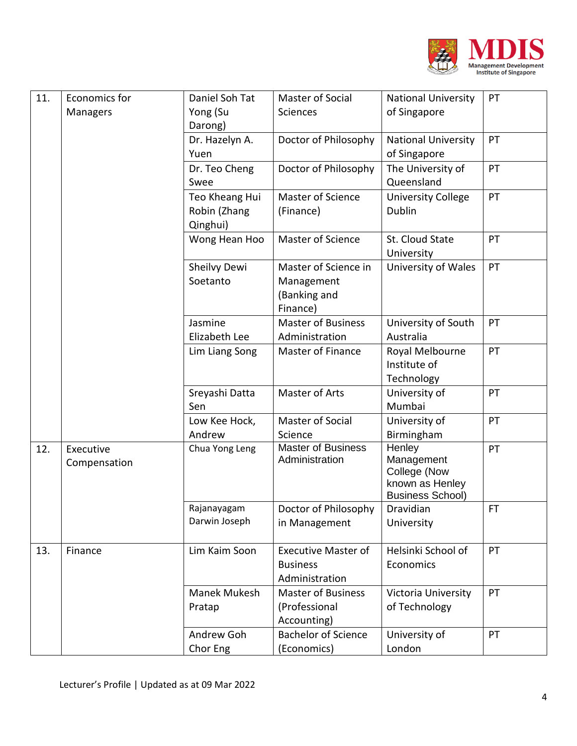

| 11. | Economics for | Daniel Soh Tat | Master of Social                            | <b>National University</b>    | PT |
|-----|---------------|----------------|---------------------------------------------|-------------------------------|----|
|     | Managers      | Yong (Su       | Sciences                                    | of Singapore                  |    |
|     |               | Darong)        |                                             |                               |    |
|     |               | Dr. Hazelyn A. | Doctor of Philosophy                        | <b>National University</b>    | PT |
|     |               | Yuen           |                                             | of Singapore                  |    |
|     |               | Dr. Teo Cheng  | Doctor of Philosophy                        | The University of             | PT |
|     |               | Swee           |                                             | Queensland                    |    |
|     |               | Teo Kheang Hui | Master of Science                           | <b>University College</b>     | PT |
|     |               | Robin (Zhang   | (Finance)                                   | <b>Dublin</b>                 |    |
|     |               | Qinghui)       |                                             |                               |    |
|     |               | Wong Hean Hoo  | Master of Science                           | St. Cloud State<br>University | PT |
|     |               | Sheilvy Dewi   | Master of Science in                        | University of Wales           | PT |
|     |               | Soetanto       | Management                                  |                               |    |
|     |               |                | (Banking and                                |                               |    |
|     |               |                | Finance)                                    |                               |    |
|     |               | Jasmine        | <b>Master of Business</b>                   | University of South           | PT |
|     |               | Elizabeth Lee  | Administration                              | Australia                     |    |
|     |               | Lim Liang Song | Master of Finance                           | Royal Melbourne               | PT |
|     |               |                |                                             | Institute of                  |    |
|     |               |                |                                             | Technology                    |    |
|     |               | Sreyashi Datta | Master of Arts                              | University of                 | PT |
|     |               | Sen            |                                             | Mumbai                        |    |
|     |               | Low Kee Hock,  | Master of Social                            | University of                 | PT |
|     |               | Andrew         | Science                                     | Birmingham                    |    |
| 12. | Executive     | Chua Yong Leng | <b>Master of Business</b><br>Administration | Henley<br>Management          | PT |
|     | Compensation  |                |                                             | College (Now                  |    |
|     |               |                |                                             | known as Henley               |    |
|     |               |                |                                             | <b>Business School)</b>       |    |
|     |               | Rajanayagam    | Doctor of Philosophy                        | Dravidian                     | FT |
|     |               | Darwin Joseph  | in Management                               | University                    |    |
| 13. | Finance       | Lim Kaim Soon  | <b>Executive Master of</b>                  | Helsinki School of            | PT |
|     |               |                | <b>Business</b>                             | Economics                     |    |
|     |               |                | Administration                              |                               |    |
|     |               | Manek Mukesh   | <b>Master of Business</b>                   | Victoria University           | PT |
|     |               | Pratap         | (Professional                               | of Technology                 |    |
|     |               |                | Accounting)                                 |                               |    |
|     |               | Andrew Goh     | <b>Bachelor of Science</b>                  | University of                 | PT |
|     |               | Chor Eng       | (Economics)                                 | London                        |    |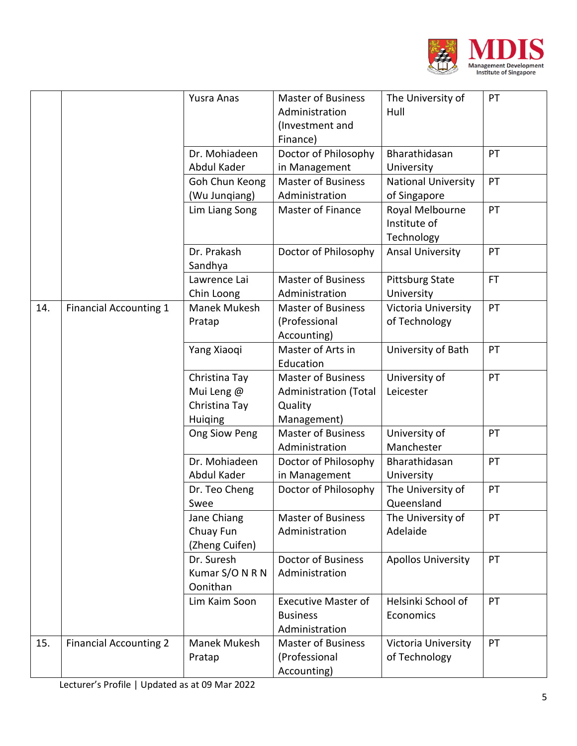

|     |                               | Yusra Anas             | <b>Master of Business</b>    | The University of          | PT  |
|-----|-------------------------------|------------------------|------------------------------|----------------------------|-----|
|     |                               |                        | Administration               | Hull                       |     |
|     |                               |                        | (Investment and              |                            |     |
|     |                               |                        | Finance)                     |                            |     |
|     |                               | Dr. Mohiadeen          | Doctor of Philosophy         | Bharathidasan              | PT  |
|     |                               | Abdul Kader            | in Management                | University                 |     |
|     |                               | Goh Chun Keong         | <b>Master of Business</b>    | <b>National University</b> | PT  |
|     |                               | (Wu Junqiang)          | Administration               | of Singapore               |     |
|     |                               | Lim Liang Song         | <b>Master of Finance</b>     | Royal Melbourne            | PT  |
|     |                               |                        |                              | Institute of               |     |
|     |                               |                        |                              | Technology                 |     |
|     |                               | Dr. Prakash<br>Sandhya | Doctor of Philosophy         | <b>Ansal University</b>    | PT  |
|     |                               | Lawrence Lai           | <b>Master of Business</b>    | <b>Pittsburg State</b>     | FT. |
|     |                               | Chin Loong             | Administration               | University                 |     |
| 14. | <b>Financial Accounting 1</b> | Manek Mukesh           | <b>Master of Business</b>    | Victoria University        | PT  |
|     |                               | Pratap                 | (Professional                | of Technology              |     |
|     |                               |                        | Accounting)                  |                            |     |
|     |                               | Yang Xiaoqi            | Master of Arts in            | University of Bath         | PT  |
|     |                               |                        | Education                    |                            |     |
|     |                               | Christina Tay          | <b>Master of Business</b>    | University of              | PT  |
|     |                               | Mui Leng @             | <b>Administration (Total</b> | Leicester                  |     |
|     |                               | Christina Tay          | Quality                      |                            |     |
|     |                               | Huiging                | Management)                  |                            |     |
|     |                               | Ong Siow Peng          | <b>Master of Business</b>    | University of              | PT  |
|     |                               |                        | Administration               | Manchester                 |     |
|     |                               | Dr. Mohiadeen          | Doctor of Philosophy         | Bharathidasan              | PT  |
|     |                               | Abdul Kader            | in Management                | University                 |     |
|     |                               | Dr. Teo Cheng          | Doctor of Philosophy         | The University of          | PT  |
|     |                               | Swee                   |                              | Queensland                 |     |
|     |                               | Jane Chiang            | <b>Master of Business</b>    | The University of          | PT  |
|     |                               | Chuay Fun              | Administration               | Adelaide                   |     |
|     |                               | (Zheng Cuifen)         |                              |                            |     |
|     |                               | Dr. Suresh             | <b>Doctor of Business</b>    | <b>Apollos University</b>  | PT  |
|     |                               | Kumar S/O N R N        | Administration               |                            |     |
|     |                               | Oonithan               |                              |                            |     |
|     |                               | Lim Kaim Soon          | <b>Executive Master of</b>   | Helsinki School of         | PT  |
|     |                               |                        | <b>Business</b>              | Economics                  |     |
|     |                               |                        | Administration               |                            |     |
| 15. | <b>Financial Accounting 2</b> | Manek Mukesh           | <b>Master of Business</b>    | Victoria University        | PT  |
|     |                               | Pratap                 | (Professional                | of Technology              |     |
|     |                               |                        | Accounting)                  |                            |     |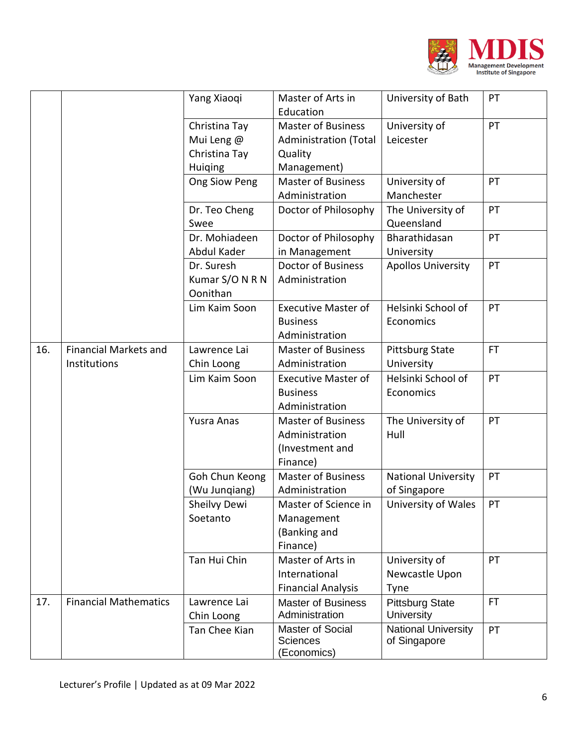

|     |                                              | Yang Xiaoqi                                             | Master of Arts in<br>Education                                                      | University of Bath                         | PT        |
|-----|----------------------------------------------|---------------------------------------------------------|-------------------------------------------------------------------------------------|--------------------------------------------|-----------|
|     |                                              | Christina Tay<br>Mui Leng @<br>Christina Tay<br>Huiqing | <b>Master of Business</b><br><b>Administration (Total</b><br>Quality<br>Management) | University of<br>Leicester                 | PT        |
|     |                                              | Ong Siow Peng                                           | <b>Master of Business</b><br>Administration                                         | University of<br>Manchester                | PT        |
|     |                                              | Dr. Teo Cheng<br>Swee                                   | Doctor of Philosophy                                                                | The University of<br>Queensland            | PT        |
|     |                                              | Dr. Mohiadeen<br>Abdul Kader                            | Doctor of Philosophy<br>in Management                                               | Bharathidasan<br>University                | PT        |
|     |                                              | Dr. Suresh<br>Kumar S/O N R N<br>Oonithan               | Doctor of Business<br>Administration                                                | <b>Apollos University</b>                  | PT        |
|     |                                              | Lim Kaim Soon                                           | <b>Executive Master of</b><br><b>Business</b><br>Administration                     | Helsinki School of<br>Economics            | PT        |
| 16. | <b>Financial Markets and</b><br>Institutions | Lawrence Lai<br>Chin Loong                              | <b>Master of Business</b><br>Administration                                         | <b>Pittsburg State</b><br>University       | <b>FT</b> |
|     |                                              | Lim Kaim Soon                                           | <b>Executive Master of</b><br><b>Business</b><br>Administration                     | Helsinki School of<br>Economics            | PT        |
|     |                                              | Yusra Anas                                              | <b>Master of Business</b><br>Administration<br>(Investment and<br>Finance)          | The University of<br>Hull                  | PT        |
|     |                                              | Goh Chun Keong<br>(Wu Junqiang)                         | <b>Master of Business</b><br>Administration                                         | <b>National University</b><br>of Singapore | PT        |
|     |                                              | Sheilvy Dewi<br>Soetanto                                | Master of Science in<br>Management<br>(Banking and<br>Finance)                      | University of Wales                        | PT        |
|     |                                              | Tan Hui Chin                                            | Master of Arts in<br>International<br><b>Financial Analysis</b>                     | University of<br>Newcastle Upon<br>Tyne    | PT        |
| 17. | <b>Financial Mathematics</b>                 | Lawrence Lai<br>Chin Loong                              | <b>Master of Business</b><br>Administration                                         | <b>Pittsburg State</b><br>University       | FT.       |
|     |                                              | Tan Chee Kian                                           | Master of Social<br><b>Sciences</b><br>(Economics)                                  | <b>National University</b><br>of Singapore | PT        |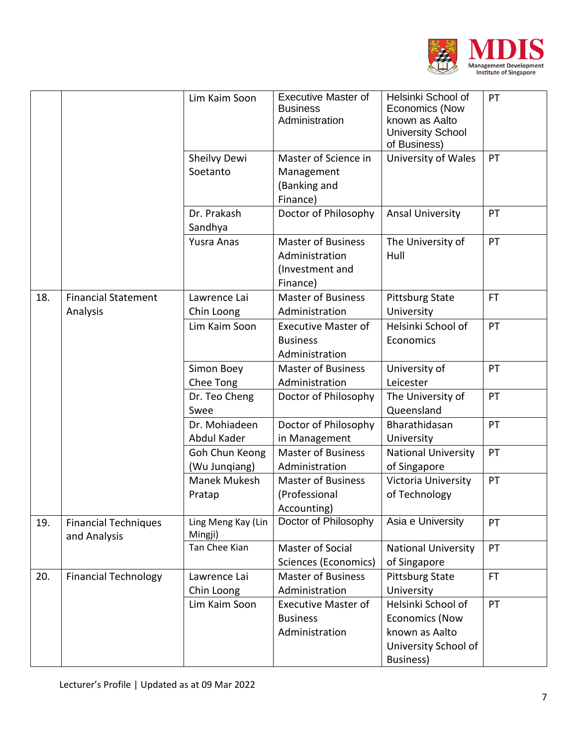

|     |                                             | Lim Kaim Soon                   | <b>Executive Master of</b><br><b>Business</b><br>Administration            | Helsinki School of<br>Economics (Now<br>known as Aalto<br><b>University School</b><br>of Business) | PT  |
|-----|---------------------------------------------|---------------------------------|----------------------------------------------------------------------------|----------------------------------------------------------------------------------------------------|-----|
|     |                                             | Sheilvy Dewi<br>Soetanto        | Master of Science in<br>Management<br>(Banking and<br>Finance)             | University of Wales                                                                                | PT  |
|     |                                             | Dr. Prakash<br>Sandhya          | Doctor of Philosophy                                                       | <b>Ansal University</b>                                                                            | PT  |
|     |                                             | <b>Yusra Anas</b>               | <b>Master of Business</b><br>Administration<br>(Investment and<br>Finance) | The University of<br>Hull                                                                          | PT  |
| 18. | <b>Financial Statement</b><br>Analysis      | Lawrence Lai<br>Chin Loong      | <b>Master of Business</b><br>Administration                                | <b>Pittsburg State</b><br>University                                                               | FT. |
|     |                                             | Lim Kaim Soon                   | <b>Executive Master of</b><br><b>Business</b><br>Administration            | Helsinki School of<br>Economics                                                                    | PT  |
|     |                                             | Simon Boey<br>Chee Tong         | <b>Master of Business</b><br>Administration                                | University of<br>Leicester                                                                         | PT  |
|     |                                             | Dr. Teo Cheng<br>Swee           | Doctor of Philosophy                                                       | The University of<br>Queensland                                                                    | PT  |
|     |                                             | Dr. Mohiadeen<br>Abdul Kader    | Doctor of Philosophy<br>in Management                                      | Bharathidasan<br>University                                                                        | PT  |
|     |                                             | Goh Chun Keong<br>(Wu Jungiang) | <b>Master of Business</b><br>Administration                                | <b>National University</b><br>of Singapore                                                         | PT  |
|     |                                             | Manek Mukesh<br>Pratap          | <b>Master of Business</b><br>(Professional<br>Accounting)                  | Victoria University<br>of Technology                                                               | PT  |
| 19. | <b>Financial Techniques</b><br>and Analysis | Ling Meng Kay (Lin<br>Mingji)   | Doctor of Philosophy                                                       | Asia e University                                                                                  | PT  |
|     |                                             | Tan Chee Kian                   | Master of Social<br>Sciences (Economics)                                   | <b>National University</b><br>of Singapore                                                         | PT  |
| 20. | <b>Financial Technology</b>                 | Lawrence Lai<br>Chin Loong      | <b>Master of Business</b><br>Administration                                | <b>Pittsburg State</b><br>University                                                               | FT. |
|     |                                             | Lim Kaim Soon                   | <b>Executive Master of</b><br><b>Business</b><br>Administration            | Helsinki School of<br><b>Economics (Now</b><br>known as Aalto<br>University School of<br>Business) | PT  |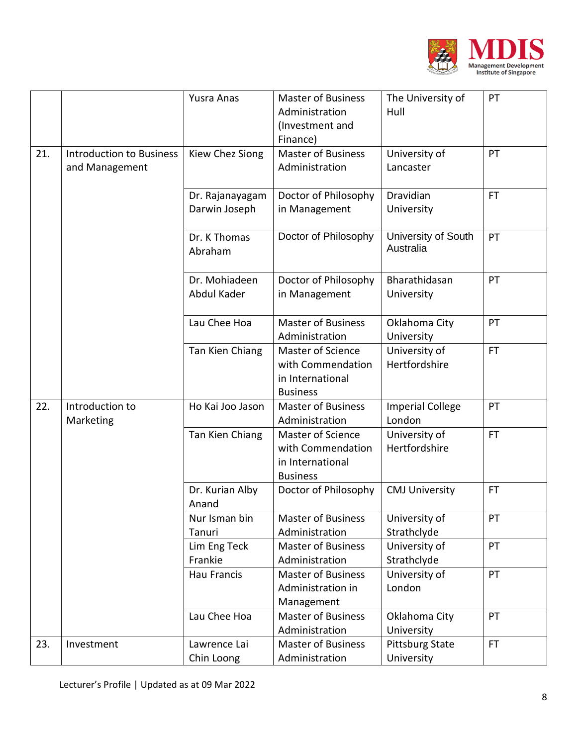

|     |                                                   | Yusra Anas                       | <b>Master of Business</b><br>Administration<br>(Investment and<br>Finance)           | The University of<br>Hull            | PT        |
|-----|---------------------------------------------------|----------------------------------|--------------------------------------------------------------------------------------|--------------------------------------|-----------|
| 21. | <b>Introduction to Business</b><br>and Management | Kiew Chez Siong                  | <b>Master of Business</b><br>Administration                                          | University of<br>Lancaster           | PT        |
|     |                                                   | Dr. Rajanayagam<br>Darwin Joseph | Doctor of Philosophy<br>in Management                                                | Dravidian<br>University              | FT.       |
|     |                                                   | Dr. K Thomas<br>Abraham          | Doctor of Philosophy                                                                 | University of South<br>Australia     | PT        |
|     |                                                   | Dr. Mohiadeen<br>Abdul Kader     | Doctor of Philosophy<br>in Management                                                | Bharathidasan<br>University          | PT        |
|     |                                                   | Lau Chee Hoa                     | <b>Master of Business</b><br>Administration                                          | Oklahoma City<br>University          | PT        |
|     |                                                   | Tan Kien Chiang                  | <b>Master of Science</b><br>with Commendation<br>in International<br><b>Business</b> | University of<br>Hertfordshire       | FT.       |
| 22. | Introduction to<br>Marketing                      | Ho Kai Joo Jason                 | <b>Master of Business</b><br>Administration                                          | <b>Imperial College</b><br>London    | PT        |
|     |                                                   | Tan Kien Chiang                  | Master of Science<br>with Commendation<br>in International<br><b>Business</b>        | University of<br>Hertfordshire       | <b>FT</b> |
|     |                                                   | Dr. Kurian Alby<br>Anand         | Doctor of Philosophy                                                                 | <b>CMJ University</b>                | FT.       |
|     |                                                   | Nur Isman bin<br>Tanuri          | <b>Master of Business</b><br>Administration                                          | University of<br>Strathclyde         | PT        |
|     |                                                   | Lim Eng Teck<br>Frankie          | <b>Master of Business</b><br>Administration                                          | University of<br>Strathclyde         | PT        |
|     |                                                   | <b>Hau Francis</b>               | <b>Master of Business</b><br>Administration in<br>Management                         | University of<br>London              | PT        |
|     |                                                   | Lau Chee Hoa                     | <b>Master of Business</b><br>Administration                                          | Oklahoma City<br>University          | PT        |
| 23. | Investment                                        | Lawrence Lai<br>Chin Loong       | <b>Master of Business</b><br>Administration                                          | <b>Pittsburg State</b><br>University | FT.       |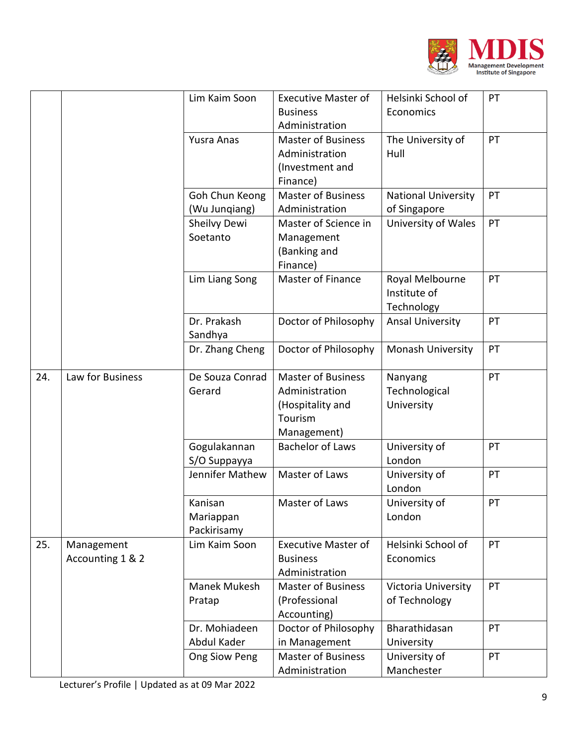

|     |                  | Lim Kaim Soon   | <b>Executive Master of</b>        | Helsinki School of         | PT |
|-----|------------------|-----------------|-----------------------------------|----------------------------|----|
|     |                  |                 | <b>Business</b><br>Administration | Economics                  |    |
|     |                  |                 | <b>Master of Business</b>         |                            | PT |
|     |                  | Yusra Anas      |                                   | The University of          |    |
|     |                  |                 | Administration                    | Hull                       |    |
|     |                  |                 | (Investment and                   |                            |    |
|     |                  |                 | Finance)                          |                            |    |
|     |                  | Goh Chun Keong  | <b>Master of Business</b>         | <b>National University</b> | PT |
|     |                  | (Wu Jungiang)   | Administration                    | of Singapore               |    |
|     |                  | Sheilvy Dewi    | Master of Science in              | University of Wales        | PT |
|     |                  | Soetanto        | Management                        |                            |    |
|     |                  |                 | (Banking and                      |                            |    |
|     |                  |                 | Finance)                          |                            |    |
|     |                  | Lim Liang Song  | Master of Finance                 | Royal Melbourne            | PT |
|     |                  |                 |                                   | Institute of               |    |
|     |                  |                 |                                   | Technology                 |    |
|     |                  | Dr. Prakash     | Doctor of Philosophy              | <b>Ansal University</b>    | PT |
|     |                  | Sandhya         |                                   |                            |    |
|     |                  | Dr. Zhang Cheng | Doctor of Philosophy              | Monash University          | PT |
| 24. | Law for Business | De Souza Conrad | <b>Master of Business</b>         | Nanyang                    | PT |
|     |                  | Gerard          | Administration                    | Technological              |    |
|     |                  |                 | (Hospitality and                  | University                 |    |
|     |                  |                 | Tourism                           |                            |    |
|     |                  |                 | Management)                       |                            |    |
|     |                  | Gogulakannan    | <b>Bachelor of Laws</b>           | University of              | PT |
|     |                  | S/O Suppayya    |                                   | London                     |    |
|     |                  | Jennifer Mathew | Master of Laws                    | University of              | PT |
|     |                  |                 |                                   | London                     |    |
|     |                  | Kanisan         | Master of Laws                    | University of              | PT |
|     |                  | Mariappan       |                                   | London                     |    |
|     |                  | Packirisamy     |                                   |                            |    |
| 25. | Management       | Lim Kaim Soon   | <b>Executive Master of</b>        | Helsinki School of         | PT |
|     | Accounting 1 & 2 |                 | <b>Business</b>                   | Economics                  |    |
|     |                  |                 | Administration                    |                            |    |
|     |                  | Manek Mukesh    | <b>Master of Business</b>         | Victoria University        | PT |
|     |                  | Pratap          | (Professional                     | of Technology              |    |
|     |                  |                 | Accounting)                       |                            |    |
|     |                  | Dr. Mohiadeen   | Doctor of Philosophy              | Bharathidasan              | PT |
|     |                  | Abdul Kader     | in Management                     | University                 |    |
|     |                  |                 | <b>Master of Business</b>         |                            | PT |
|     |                  | Ong Siow Peng   |                                   | University of              |    |
|     |                  |                 | Administration                    | Manchester                 |    |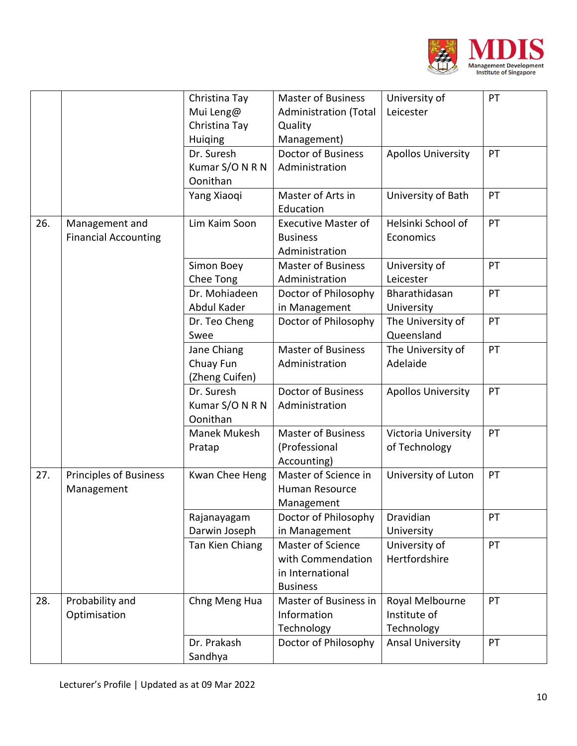

|     |                               | Christina Tay<br>Mui Leng@ | <b>Master of Business</b><br><b>Administration (Total</b> | University of<br>Leicester  | PT |
|-----|-------------------------------|----------------------------|-----------------------------------------------------------|-----------------------------|----|
|     |                               | Christina Tay              | Quality                                                   |                             |    |
|     |                               | <b>Huiging</b>             | Management)                                               |                             |    |
|     |                               | Dr. Suresh                 | <b>Doctor of Business</b>                                 | <b>Apollos University</b>   | PT |
|     |                               | Kumar S/O N R N            | Administration                                            |                             |    |
|     |                               | Oonithan                   |                                                           |                             |    |
|     |                               | Yang Xiaoqi                | Master of Arts in                                         | University of Bath          | PT |
|     |                               |                            | Education                                                 |                             |    |
| 26. | Management and                | Lim Kaim Soon              | <b>Executive Master of</b>                                | Helsinki School of          | PT |
|     | <b>Financial Accounting</b>   |                            | <b>Business</b>                                           | Economics                   |    |
|     |                               |                            | Administration                                            |                             |    |
|     |                               | Simon Boey                 | <b>Master of Business</b>                                 | University of               | PT |
|     |                               | Chee Tong                  | Administration                                            | Leicester                   |    |
|     |                               | Dr. Mohiadeen              | Doctor of Philosophy                                      | Bharathidasan               | PT |
|     |                               | Abdul Kader                | in Management                                             | University                  |    |
|     |                               | Dr. Teo Cheng              | Doctor of Philosophy                                      | The University of           | PT |
|     |                               | Swee                       |                                                           | Queensland                  |    |
|     |                               | Jane Chiang                | <b>Master of Business</b>                                 | The University of           | PT |
|     |                               | Chuay Fun                  | Administration                                            | Adelaide                    |    |
|     |                               | (Zheng Cuifen)             |                                                           |                             |    |
|     |                               | Dr. Suresh                 | <b>Doctor of Business</b>                                 | <b>Apollos University</b>   | PT |
|     |                               | Kumar S/O N R N            | Administration                                            |                             |    |
|     |                               | Oonithan                   |                                                           |                             |    |
|     |                               | Manek Mukesh               | <b>Master of Business</b>                                 | Victoria University         | PT |
|     |                               | Pratap                     | (Professional                                             | of Technology               |    |
|     |                               |                            | Accounting)                                               |                             |    |
| 27. | <b>Principles of Business</b> | Kwan Chee Heng             | Master of Science in                                      | University of Luton         | PT |
|     | Management                    |                            | Human Resource                                            |                             |    |
|     |                               |                            | Management                                                |                             |    |
|     |                               | Rajanayagam                | Doctor of Philosophy                                      | Dravidian                   | PT |
|     |                               | Darwin Joseph              | in Management<br>Master of Science                        | University<br>University of | PT |
|     |                               | Tan Kien Chiang            | with Commendation                                         | Hertfordshire               |    |
|     |                               |                            | in International                                          |                             |    |
|     |                               |                            | <b>Business</b>                                           |                             |    |
| 28. | Probability and               | Chng Meng Hua              | Master of Business in                                     | Royal Melbourne             | PT |
|     | Optimisation                  |                            | Information                                               | Institute of                |    |
|     |                               |                            | Technology                                                | Technology                  |    |
|     |                               | Dr. Prakash                | Doctor of Philosophy                                      | Ansal University            | PT |
|     |                               | Sandhya                    |                                                           |                             |    |
|     |                               |                            |                                                           |                             |    |